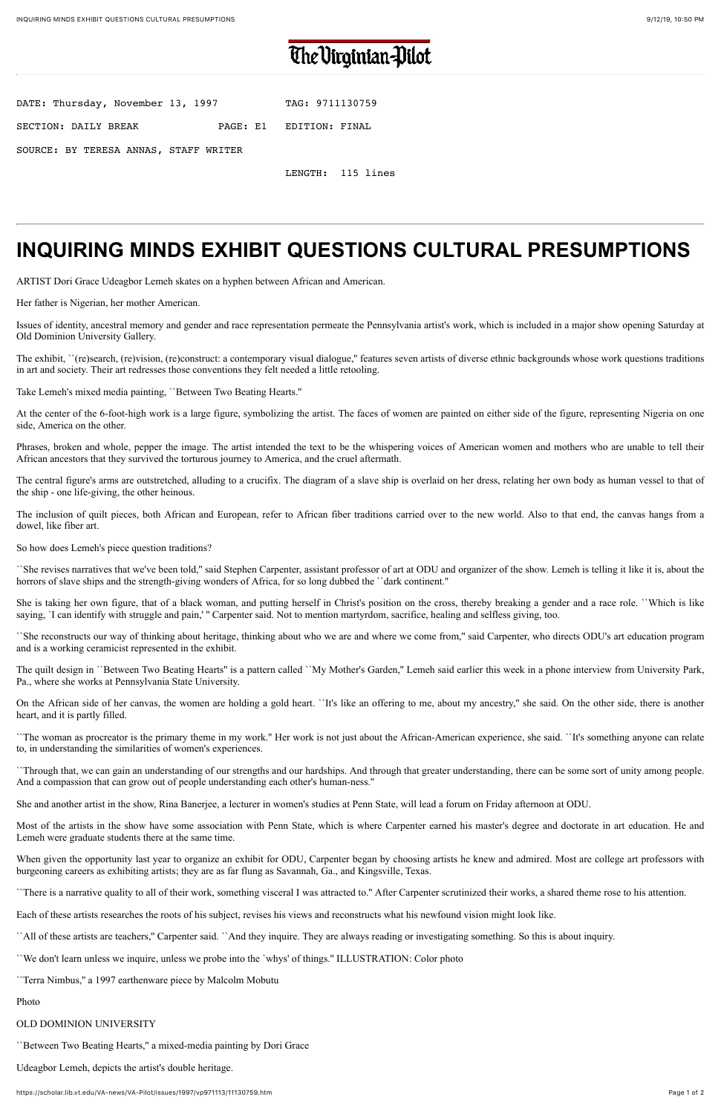## The Virginian-Pilot

| DATE: Thursday, November 13, 1997     | TAG: 9711130759         |
|---------------------------------------|-------------------------|
| SECTION: DAILY BREAK                  | PAGE: E1 EDITION: FINAL |
| SOURCE: BY TERESA ANNAS, STAFF WRITER |                         |

LENGTH: 115 lines

# **INQUIRING MINDS EXHIBIT QUESTIONS CULTURAL PRESUMPTIONS**

ARTIST Dori Grace Udeagbor Lemeh skates on a hyphen between African and American.

Her father is Nigerian, her mother American.

Issues of identity, ancestral memory and gender and race representation permeate the Pennsylvania artist's work, which is included in a major show opening Saturday at Old Dominion University Gallery.

The exhibit, ``(re)search, (re)vision, (re)construct: a contemporary visual dialogue,'' features seven artists of diverse ethnic backgrounds whose work questions traditions in art and society. Their art redresses those conventions they felt needed a little retooling.

``She revises narratives that we've been told,'' said Stephen Carpenter, assistant professor of art at ODU and organizer of the show. Lemeh is telling it like it is, about the horrors of slave ships and the strength-giving wonders of Africa, for so long dubbed the ``dark continent.''

Take Lemeh's mixed media painting, ``Between Two Beating Hearts.''

She is taking her own figure, that of a black woman, and putting herself in Christ's position on the cross, thereby breaking a gender and a race role. ``Which is like saying, 'I can identify with struggle and pain,' " Carpenter said. Not to mention martyrdom, sacrifice, healing and selfless giving, too.

At the center of the 6-foot-high work is a large figure, symbolizing the artist. The faces of women are painted on either side of the figure, representing Nigeria on one side, America on the other.

Phrases, broken and whole, pepper the image. The artist intended the text to be the whispering voices of American women and mothers who are unable to tell their African ancestors that they survived the torturous journey to America, and the cruel aftermath.

The central figure's arms are outstretched, alluding to a crucifix. The diagram of a slave ship is overlaid on her dress, relating her own body as human vessel to that of the ship - one life-giving, the other heinous.

The inclusion of quilt pieces, both African and European, refer to African fiber traditions carried over to the new world. Also to that end, the canvas hangs from a dowel, like fiber art.

So how does Lemeh's piece question traditions?

When given the opportunity last year to organize an exhibit for ODU, Carpenter began by choosing artists he knew and admired. Most are college art professors with burgeoning careers as exhibiting artists; they are as far flung as Savannah, Ga., and Kingsville, Texas.

``She reconstructs our way of thinking about heritage, thinking about who we are and where we come from,'' said Carpenter, who directs ODU's art education program and is a working ceramicist represented in the exhibit.

The quilt design in ``Between Two Beating Hearts'' is a pattern called ``My Mother's Garden,'' Lemeh said earlier this week in a phone interview from University Park, Pa., where she works at Pennsylvania State University.

On the African side of her canvas, the women are holding a gold heart. ``It's like an offering to me, about my ancestry,'' she said. On the other side, there is another heart, and it is partly filled.

``The woman as procreator is the primary theme in my work.'' Her work is not just about the African-American experience, she said. ``It's something anyone can relate to, in understanding the similarities of women's experiences.

``Through that, we can gain an understanding of our strengths and our hardships. And through that greater understanding, there can be some sort of unity among people. And a compassion that can grow out of people understanding each other's human-ness.''

She and another artist in the show, Rina Banerjee, a lecturer in women's studies at Penn State, will lead a forum on Friday afternoon at ODU.

Most of the artists in the show have some association with Penn State, which is where Carpenter earned his master's degree and doctorate in art education. He and Lemeh were graduate students there at the same time.

``There is a narrative quality to all of their work, something visceral I was attracted to.'' After Carpenter scrutinized their works, a shared theme rose to his attention.

Each of these artists researches the roots of his subject, revises his views and reconstructs what his newfound vision might look like.

``All of these artists are teachers,'' Carpenter said. ``And they inquire. They are always reading or investigating something. So this is about inquiry.

``We don't learn unless we inquire, unless we probe into the `whys' of things.'' ILLUSTRATION: Color photo

``Terra Nimbus,'' a 1997 earthenware piece by Malcolm Mobutu

### Photo

## OLD DOMINION UNIVERSITY

``Between Two Beating Hearts,'' a mixed-media painting by Dori Grace

Udeagbor Lemeh, depicts the artist's double heritage.